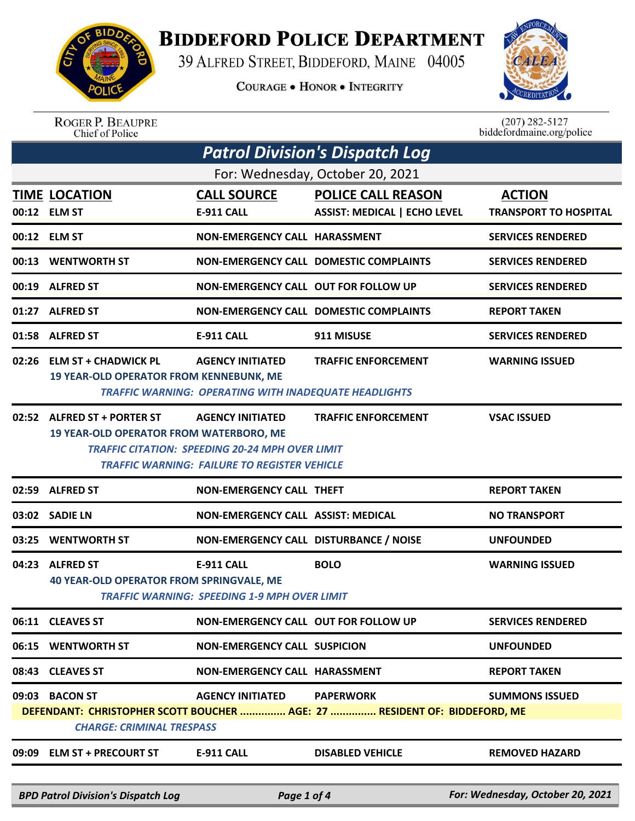

## **BIDDEFORD POLICE DEPARTMENT**

39 ALFRED STREET, BIDDEFORD, MAINE 04005

**COURAGE . HONOR . INTEGRITY** 



ROGER P. BEAUPRE<br>Chief of Police

 $(207)$  282-5127 biddefordmaine.org/police

|                                  | <b>Patrol Division's Dispatch Log</b>                                         |                                                                                                                                   |                                                                                               |                                               |  |  |
|----------------------------------|-------------------------------------------------------------------------------|-----------------------------------------------------------------------------------------------------------------------------------|-----------------------------------------------------------------------------------------------|-----------------------------------------------|--|--|
| For: Wednesday, October 20, 2021 |                                                                               |                                                                                                                                   |                                                                                               |                                               |  |  |
|                                  | <b>TIME LOCATION</b><br>00:12 ELM ST                                          | <b>CALL SOURCE</b><br><b>E-911 CALL</b>                                                                                           | <b>POLICE CALL REASON</b><br><b>ASSIST: MEDICAL   ECHO LEVEL</b>                              | <b>ACTION</b><br><b>TRANSPORT TO HOSPITAL</b> |  |  |
|                                  | 00:12 ELM ST                                                                  | <b>NON-EMERGENCY CALL HARASSMENT</b>                                                                                              |                                                                                               | <b>SERVICES RENDERED</b>                      |  |  |
|                                  | 00:13 WENTWORTH ST                                                            |                                                                                                                                   | <b>NON-EMERGENCY CALL DOMESTIC COMPLAINTS</b>                                                 | <b>SERVICES RENDERED</b>                      |  |  |
|                                  | 00:19 ALFRED ST                                                               | NON-EMERGENCY CALL OUT FOR FOLLOW UP                                                                                              |                                                                                               | <b>SERVICES RENDERED</b>                      |  |  |
|                                  | 01:27 ALFRED ST                                                               |                                                                                                                                   | <b>NON-EMERGENCY CALL DOMESTIC COMPLAINTS</b>                                                 | <b>REPORT TAKEN</b>                           |  |  |
|                                  | 01:58 ALFRED ST                                                               | <b>E-911 CALL</b>                                                                                                                 | 911 MISUSE                                                                                    | <b>SERVICES RENDERED</b>                      |  |  |
|                                  | 02:26 ELM ST + CHADWICK PL<br><b>19 YEAR-OLD OPERATOR FROM KENNEBUNK, ME</b>  | <b>AGENCY INITIATED</b><br><b>TRAFFIC WARNING: OPERATING WITH INADEQUATE HEADLIGHTS</b>                                           | <b>TRAFFIC ENFORCEMENT</b>                                                                    | <b>WARNING ISSUED</b>                         |  |  |
|                                  | 02:52 ALFRED ST + PORTER ST<br><b>19 YEAR-OLD OPERATOR FROM WATERBORO, ME</b> | <b>AGENCY INITIATED</b><br><b>TRAFFIC CITATION: SPEEDING 20-24 MPH OVER LIMIT</b><br>TRAFFIC WARNING: FAILURE TO REGISTER VEHICLE | <b>TRAFFIC ENFORCEMENT</b>                                                                    | <b>VSAC ISSUED</b>                            |  |  |
|                                  | 02:59 ALFRED ST                                                               | <b>NON-EMERGENCY CALL THEFT</b>                                                                                                   |                                                                                               | <b>REPORT TAKEN</b>                           |  |  |
| 03:02                            | <b>SADIE LN</b>                                                               | NON-EMERGENCY CALL ASSIST: MEDICAL                                                                                                |                                                                                               | <b>NO TRANSPORT</b>                           |  |  |
| 03:25                            | <b>WENTWORTH ST</b>                                                           | NON-EMERGENCY CALL DISTURBANCE / NOISE                                                                                            |                                                                                               | <b>UNFOUNDED</b>                              |  |  |
|                                  | 04:23 ALFRED ST<br><b>40 YEAR-OLD OPERATOR FROM SPRINGVALE, ME</b>            | <b>E-911 CALL</b><br><b>TRAFFIC WARNING: SPEEDING 1-9 MPH OVER LIMIT</b>                                                          | <b>BOLO</b>                                                                                   | <b>WARNING ISSUED</b>                         |  |  |
|                                  | 06:11 CLEAVES ST                                                              | NON-EMERGENCY CALL OUT FOR FOLLOW UP                                                                                              |                                                                                               | <b>SERVICES RENDERED</b>                      |  |  |
|                                  | 06:15 WENTWORTH ST                                                            | <b>NON-EMERGENCY CALL SUSPICION</b>                                                                                               |                                                                                               | <b>UNFOUNDED</b>                              |  |  |
|                                  | 08:43 CLEAVES ST                                                              | <b>NON-EMERGENCY CALL HARASSMENT</b>                                                                                              |                                                                                               | <b>REPORT TAKEN</b>                           |  |  |
|                                  | 09:03 BACON ST<br><b>CHARGE: CRIMINAL TRESPASS</b>                            | <b>AGENCY INITIATED</b>                                                                                                           | <b>PAPERWORK</b><br>DEFENDANT: CHRISTOPHER SCOTT BOUCHER  AGE: 27  RESIDENT OF: BIDDEFORD, ME | <b>SUMMONS ISSUED</b>                         |  |  |
|                                  | 09:09 ELM ST + PRECOURT ST                                                    | E-911 CALL                                                                                                                        | <b>DISABLED VEHICLE</b>                                                                       | <b>REMOVED HAZARD</b>                         |  |  |

*BPD Patrol Division's Dispatch Log Page 1 of 4 For: Wednesday, October 20, 2021*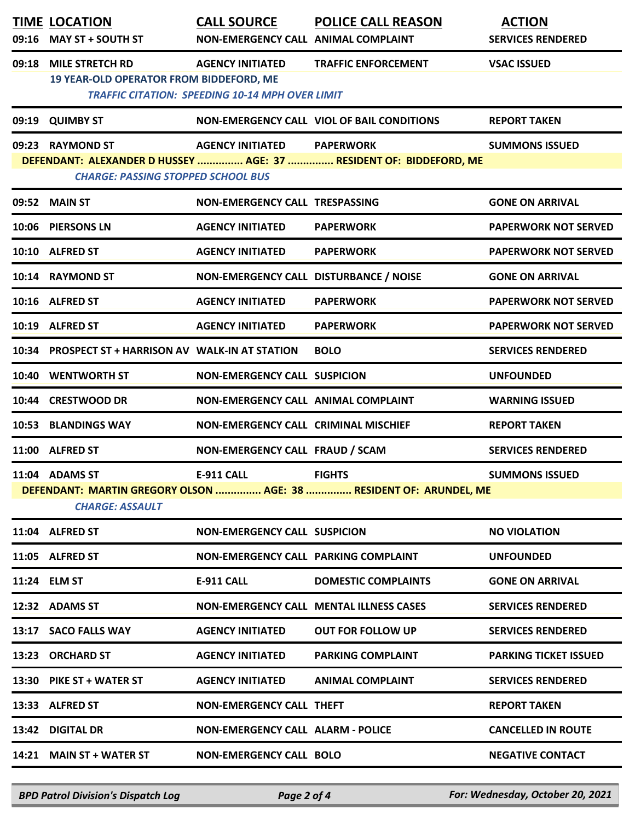|       | <b>TIME LOCATION</b><br>09:16 MAY ST + SOUTH ST                          | <b>CALL SOURCE</b><br>NON-EMERGENCY CALL ANIMAL COMPLAINT                         | <b>POLICE CALL REASON</b>                                          | <b>ACTION</b><br><b>SERVICES RENDERED</b> |
|-------|--------------------------------------------------------------------------|-----------------------------------------------------------------------------------|--------------------------------------------------------------------|-------------------------------------------|
| 09:18 | <b>MILE STRETCH RD</b><br><b>19 YEAR-OLD OPERATOR FROM BIDDEFORD, ME</b> | <b>AGENCY INITIATED</b><br><b>TRAFFIC CITATION: SPEEDING 10-14 MPH OVER LIMIT</b> | <b>TRAFFIC ENFORCEMENT</b>                                         | <b>VSAC ISSUED</b>                        |
|       | 09:19 QUIMBY ST                                                          |                                                                                   | NON-EMERGENCY CALL VIOL OF BAIL CONDITIONS                         | <b>REPORT TAKEN</b>                       |
|       | 09:23 RAYMOND ST<br><b>CHARGE: PASSING STOPPED SCHOOL BUS</b>            | AGENCY INITIATED PAPERWORK                                                        | DEFENDANT: ALEXANDER D HUSSEY  AGE: 37  RESIDENT OF: BIDDEFORD, ME | <b>SUMMONS ISSUED</b>                     |
|       | 09:52 MAIN ST                                                            | NON-EMERGENCY CALL TRESPASSING                                                    |                                                                    | <b>GONE ON ARRIVAL</b>                    |
|       | 10:06 PIERSONS LN                                                        | <b>AGENCY INITIATED</b>                                                           | <b>PAPERWORK</b>                                                   | <b>PAPERWORK NOT SERVED</b>               |
|       | 10:10 ALFRED ST                                                          | <b>AGENCY INITIATED</b>                                                           | <b>PAPERWORK</b>                                                   | <b>PAPERWORK NOT SERVED</b>               |
|       | 10:14 RAYMOND ST                                                         | NON-EMERGENCY CALL DISTURBANCE / NOISE                                            |                                                                    | <b>GONE ON ARRIVAL</b>                    |
|       | 10:16 ALFRED ST                                                          | <b>AGENCY INITIATED</b>                                                           | <b>PAPERWORK</b>                                                   | <b>PAPERWORK NOT SERVED</b>               |
|       | 10:19 ALFRED ST                                                          | <b>AGENCY INITIATED</b>                                                           | <b>PAPERWORK</b>                                                   | <b>PAPERWORK NOT SERVED</b>               |
|       | 10:34 PROSPECT ST + HARRISON AV WALK-IN AT STATION                       |                                                                                   | <b>BOLO</b>                                                        | <b>SERVICES RENDERED</b>                  |
|       | 10:40 WENTWORTH ST                                                       | <b>NON-EMERGENCY CALL SUSPICION</b>                                               |                                                                    | <b>UNFOUNDED</b>                          |
|       | 10:44 CRESTWOOD DR                                                       | NON-EMERGENCY CALL ANIMAL COMPLAINT                                               |                                                                    | <b>WARNING ISSUED</b>                     |
|       | 10:53 BLANDINGS WAY                                                      | NON-EMERGENCY CALL CRIMINAL MISCHIEF                                              |                                                                    | <b>REPORT TAKEN</b>                       |
|       | 11:00 ALFRED ST                                                          | NON-EMERGENCY CALL FRAUD / SCAM                                                   |                                                                    | <b>SERVICES RENDERED</b>                  |
|       | 11:04 ADAMS ST<br><b>CHARGE: ASSAULT</b>                                 | <b>EIGHTS</b><br><b>E-911 CALL</b>                                                | DEFENDANT: MARTIN GREGORY OLSON  AGE: 38  RESIDENT OF: ARUNDEL, ME | <b>SUMMONS ISSUED</b>                     |
|       | 11:04 ALFRED ST                                                          | <b>NON-EMERGENCY CALL SUSPICION</b>                                               |                                                                    | <b>NO VIOLATION</b>                       |
|       | 11:05 ALFRED ST                                                          | NON-EMERGENCY CALL PARKING COMPLAINT                                              |                                                                    | <b>UNFOUNDED</b>                          |
|       | 11:24 ELM ST                                                             | <b>E-911 CALL</b>                                                                 | <b>DOMESTIC COMPLAINTS</b>                                         | <b>GONE ON ARRIVAL</b>                    |
|       | 12:32 ADAMS ST                                                           |                                                                                   | <b>NON-EMERGENCY CALL MENTAL ILLNESS CASES</b>                     | <b>SERVICES RENDERED</b>                  |
|       | 13:17 SACO FALLS WAY                                                     | <b>AGENCY INITIATED</b>                                                           | <b>OUT FOR FOLLOW UP</b>                                           | <b>SERVICES RENDERED</b>                  |
|       | 13:23 ORCHARD ST                                                         | <b>AGENCY INITIATED</b>                                                           | <b>PARKING COMPLAINT</b>                                           | <b>PARKING TICKET ISSUED</b>              |
|       | 13:30 PIKE ST + WATER ST                                                 | <b>AGENCY INITIATED</b>                                                           | <b>ANIMAL COMPLAINT</b>                                            | <b>SERVICES RENDERED</b>                  |
|       | 13:33 ALFRED ST                                                          | NON-EMERGENCY CALL THEFT                                                          |                                                                    | <b>REPORT TAKEN</b>                       |
|       | 13:42 DIGITAL DR                                                         | <b>NON-EMERGENCY CALL ALARM - POLICE</b>                                          |                                                                    | <b>CANCELLED IN ROUTE</b>                 |
|       | 14:21 MAIN ST + WATER ST                                                 | <b>NON-EMERGENCY CALL BOLO</b>                                                    |                                                                    | <b>NEGATIVE CONTACT</b>                   |
|       |                                                                          |                                                                                   |                                                                    |                                           |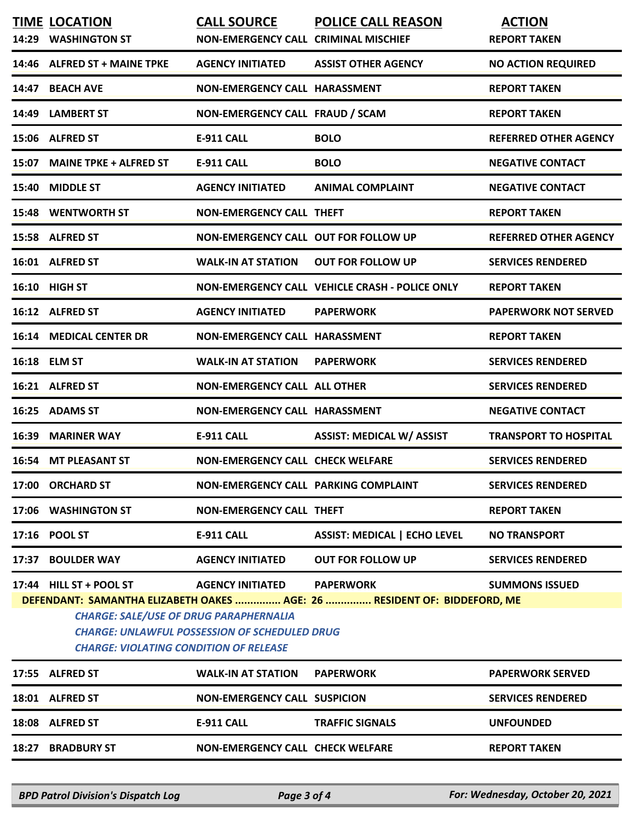| 14:29                                         | <b>TIME LOCATION</b><br><b>WASHINGTON ST</b>                             | <b>CALL SOURCE</b><br><b>NON-EMERGENCY CALL CRIMINAL MISCHIEF</b>               | <b>POLICE CALL REASON</b>                                                                    | <b>ACTION</b><br><b>REPORT TAKEN</b> |  |
|-----------------------------------------------|--------------------------------------------------------------------------|---------------------------------------------------------------------------------|----------------------------------------------------------------------------------------------|--------------------------------------|--|
| 14:46                                         | <b>ALFRED ST + MAINE TPKE</b>                                            | <b>AGENCY INITIATED</b>                                                         | <b>ASSIST OTHER AGENCY</b>                                                                   | <b>NO ACTION REQUIRED</b>            |  |
| 14:47                                         | <b>BEACH AVE</b>                                                         | <b>NON-EMERGENCY CALL HARASSMENT</b>                                            |                                                                                              | <b>REPORT TAKEN</b>                  |  |
|                                               | 14:49 LAMBERT ST                                                         | NON-EMERGENCY CALL FRAUD / SCAM                                                 |                                                                                              | <b>REPORT TAKEN</b>                  |  |
|                                               | 15:06 ALFRED ST                                                          | <b>E-911 CALL</b>                                                               | <b>BOLO</b>                                                                                  | <b>REFERRED OTHER AGENCY</b>         |  |
| 15:07                                         | <b>MAINE TPKE + ALFRED ST</b>                                            | <b>E-911 CALL</b>                                                               | <b>BOLO</b>                                                                                  | <b>NEGATIVE CONTACT</b>              |  |
| 15:40                                         | <b>MIDDLE ST</b>                                                         | <b>AGENCY INITIATED</b>                                                         | <b>ANIMAL COMPLAINT</b>                                                                      | <b>NEGATIVE CONTACT</b>              |  |
|                                               | 15:48 WENTWORTH ST                                                       | <b>NON-EMERGENCY CALL THEFT</b>                                                 |                                                                                              | <b>REPORT TAKEN</b>                  |  |
|                                               | 15:58 ALFRED ST                                                          | <b>NON-EMERGENCY CALL OUT FOR FOLLOW UP</b>                                     |                                                                                              | <b>REFERRED OTHER AGENCY</b>         |  |
|                                               | 16:01 ALFRED ST                                                          | <b>WALK-IN AT STATION</b>                                                       | <b>OUT FOR FOLLOW UP</b>                                                                     | <b>SERVICES RENDERED</b>             |  |
|                                               | 16:10 HIGH ST                                                            |                                                                                 | NON-EMERGENCY CALL VEHICLE CRASH - POLICE ONLY                                               | <b>REPORT TAKEN</b>                  |  |
|                                               | 16:12 ALFRED ST                                                          | <b>AGENCY INITIATED</b>                                                         | <b>PAPERWORK</b>                                                                             | <b>PAPERWORK NOT SERVED</b>          |  |
|                                               | <b>16:14 MEDICAL CENTER DR</b>                                           | <b>NON-EMERGENCY CALL HARASSMENT</b>                                            |                                                                                              | <b>REPORT TAKEN</b>                  |  |
|                                               | 16:18 ELM ST                                                             | <b>WALK-IN AT STATION</b>                                                       | <b>PAPERWORK</b>                                                                             | <b>SERVICES RENDERED</b>             |  |
| 16:21                                         | <b>ALFRED ST</b>                                                         | <b>NON-EMERGENCY CALL ALL OTHER</b>                                             |                                                                                              | <b>SERVICES RENDERED</b>             |  |
| 16:25                                         | <b>ADAMS ST</b>                                                          | <b>NON-EMERGENCY CALL HARASSMENT</b>                                            |                                                                                              | <b>NEGATIVE CONTACT</b>              |  |
| 16:39                                         | <b>MARINER WAY</b>                                                       | <b>E-911 CALL</b>                                                               | <b>ASSIST: MEDICAL W/ ASSIST</b>                                                             | <b>TRANSPORT TO HOSPITAL</b>         |  |
|                                               | <b>16:54 MT PLEASANT ST</b>                                              | <b>NON-EMERGENCY CALL CHECK WELFARE</b>                                         |                                                                                              | <b>SERVICES RENDERED</b>             |  |
|                                               | 17:00 ORCHARD ST                                                         | NON-EMERGENCY CALL PARKING COMPLAINT                                            |                                                                                              | <b>SERVICES RENDERED</b>             |  |
|                                               | 17:06 WASHINGTON ST                                                      | <b>NON-EMERGENCY CALL THEFT</b>                                                 |                                                                                              | <b>REPORT TAKEN</b>                  |  |
|                                               | 17:16 POOL ST                                                            | <b>E-911 CALL</b>                                                               | <b>ASSIST: MEDICAL   ECHO LEVEL</b>                                                          | <b>NO TRANSPORT</b>                  |  |
|                                               | 17:37 BOULDER WAY                                                        | <b>AGENCY INITIATED</b>                                                         | <b>OUT FOR FOLLOW UP</b>                                                                     | <b>SERVICES RENDERED</b>             |  |
|                                               | 17:44 HILL ST + POOL ST<br><b>CHARGE: SALE/USE OF DRUG PARAPHERNALIA</b> | <b>AGENCY INITIATED</b><br><b>CHARGE: UNLAWFUL POSSESSION OF SCHEDULED DRUG</b> | <b>PAPERWORK</b><br>DEFENDANT: SAMANTHA ELIZABETH OAKES  AGE: 26  RESIDENT OF: BIDDEFORD, ME | <b>SUMMONS ISSUED</b>                |  |
| <b>CHARGE: VIOLATING CONDITION OF RELEASE</b> |                                                                          |                                                                                 |                                                                                              |                                      |  |
|                                               | 17:55 ALFRED ST                                                          | <b>WALK-IN AT STATION</b>                                                       | <b>PAPERWORK</b>                                                                             | <b>PAPERWORK SERVED</b>              |  |
|                                               | 18:01 ALFRED ST                                                          | <b>NON-EMERGENCY CALL SUSPICION</b>                                             |                                                                                              | <b>SERVICES RENDERED</b>             |  |
|                                               | 18:08 ALFRED ST                                                          | <b>E-911 CALL</b>                                                               | <b>TRAFFIC SIGNALS</b>                                                                       | <b>UNFOUNDED</b>                     |  |
|                                               | 18:27 BRADBURY ST                                                        | <b>NON-EMERGENCY CALL CHECK WELFARE</b>                                         |                                                                                              | <b>REPORT TAKEN</b>                  |  |